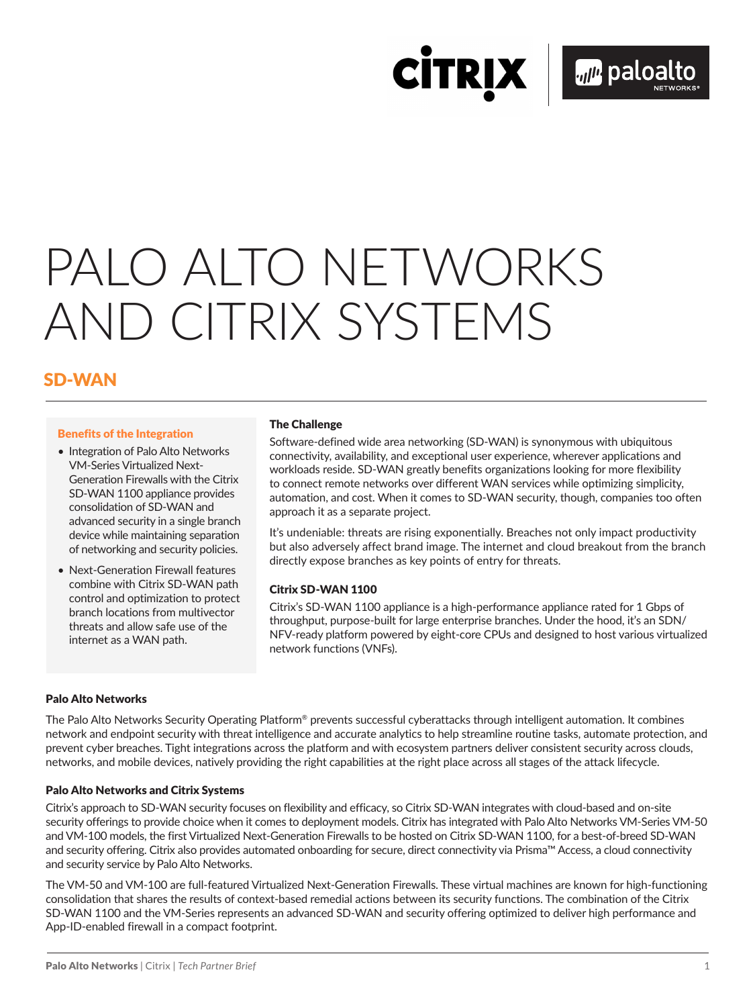**CİTRIX** 

# PALO ALTO NETWORKS AND CITRIX SYSTEMS

# SD-WAN

#### Benefits of the Integration

- Integration of Palo Alto Networks VM-Series Virtualized Next-Generation Firewalls with the Citrix SD-WAN 1100 appliance provides consolidation of SD-WAN and advanced security in a single branch device while maintaining separation of networking and security policies.
- Next-Generation Firewall features combine with Citrix SD-WAN path control and optimization to protect branch locations from multivector threats and allow safe use of the internet as a WAN path.

#### The Challenge

Software-defined wide area networking (SD-WAN) is synonymous with ubiquitous connectivity, availability, and exceptional user experience, wherever applications and workloads reside. SD-WAN greatly benefits organizations looking for more flexibility to connect remote networks over different WAN services while optimizing simplicity, automation, and cost. When it comes to SD-WAN security, though, companies too often approach it as a separate project.

It's undeniable: threats are rising exponentially. Breaches not only impact productivity but also adversely affect brand image. The internet and cloud breakout from the branch directly expose branches as key points of entry for threats.

#### Citrix SD-WAN 1100

Citrix's SD-WAN 1100 appliance is a high-performance appliance rated for 1 Gbps of throughput, purpose-built for large enterprise branches. Under the hood, it's an SDN/ NFV-ready platform powered by eight-core CPUs and designed to host various virtualized network functions (VNFs).

## Palo Alto Networks

The Palo Alto Networks Security Operating Platform® prevents successful cyberattacks through intelligent automation. It combines network and endpoint security with threat intelligence and accurate analytics to help streamline routine tasks, automate protection, and prevent cyber breaches. Tight integrations across the platform and with ecosystem partners deliver consistent security across clouds, networks, and mobile devices, natively providing the right capabilities at the right place across all stages of the attack lifecycle.

#### Palo Alto Networks and Citrix Systems

Citrix's approach to SD-WAN security focuses on flexibility and efficacy, so Citrix SD-WAN integrates with cloud-based and on-site security offerings to provide choice when it comes to deployment models. Citrix has integrated with Palo Alto Networks VM-Series VM-50 and VM-100 models, the first Virtualized Next-Generation Firewalls to be hosted on Citrix SD-WAN 1100, for a best-of-breed SD-WAN and security offering. Citrix also provides automated onboarding for secure, direct connectivity via Prisma™ Access, a cloud connectivity and security service by Palo Alto Networks.

The VM-50 and VM-100 are full-featured Virtualized Next-Generation Firewalls. These virtual machines are known for high-functioning consolidation that shares the results of context-based remedial actions between its security functions. The combination of the Citrix SD-WAN 1100 and the VM-Series represents an advanced SD-WAN and security offering optimized to deliver high performance and App-ID-enabled firewall in a compact footprint.